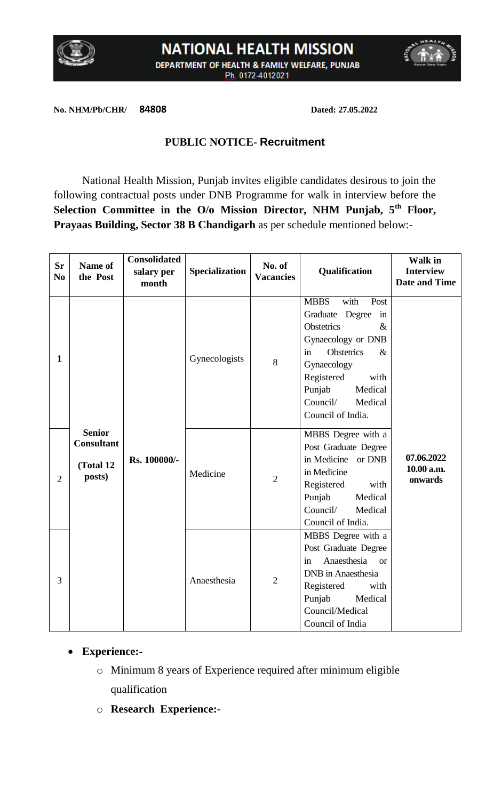

# **NATIONAL HEALTH MISSION** DEPARTMENT OF HEALTH & FAMILY WELFARE, PUNJAB Ph. 0172-4012021



**No. NHM/Pb/CHR/ 84808 Dated: 27.05.2022**

### **PUBLIC NOTICE- Recruitment**

National Health Mission, Punjab invites eligible candidates desirous to join the following contractual posts under DNB Programme for walk in interview before the **Selection Committee in the O/o Mission Director, NHM Punjab, 5th Floor, Prayaas Building, Sector 38 B Chandigarh** as per schedule mentioned below:-

| <b>Sr</b><br>N <sub>0</sub> | Name of<br>the Post                                       | <b>Consolidated</b><br>salary per<br>month | Specialization | No. of<br><b>Vacancies</b> | Qualification                                                                                                                                                                                                                                    | <b>Walk in</b><br><b>Interview</b><br><b>Date and Time</b> |
|-----------------------------|-----------------------------------------------------------|--------------------------------------------|----------------|----------------------------|--------------------------------------------------------------------------------------------------------------------------------------------------------------------------------------------------------------------------------------------------|------------------------------------------------------------|
| $\mathbf{1}$                |                                                           |                                            | Gynecologists  | 8                          | <b>MBBS</b><br>with<br>Post<br>Graduate Degree<br>in<br><b>Obstetrics</b><br>$\&$<br>Gynaecology or DNB<br><b>Obstetrics</b><br>in<br>$\&$<br>Gynaecology<br>Registered<br>with<br>Punjab<br>Medical<br>Council/<br>Medical<br>Council of India. |                                                            |
| $\overline{2}$              | <b>Senior</b><br><b>Consultant</b><br>(Total 12<br>posts) | Rs. 100000/-                               | Medicine       | $\overline{2}$             | MBBS Degree with a<br>Post Graduate Degree<br>in Medicine or DNB<br>in Medicine<br>Registered<br>with<br>Punjab<br>Medical<br>Council/<br>Medical<br>Council of India.                                                                           | 07.06.2022<br>10.00 a.m.<br>onwards                        |
| 3                           |                                                           |                                            | Anaesthesia    | $\overline{2}$             | MBBS Degree with a<br>Post Graduate Degree<br>Anaesthesia<br>in<br><b>or</b><br><b>DNB</b> in Anaesthesia<br>Registered<br>with<br>Punjab<br>Medical<br>Council/Medical<br>Council of India                                                      |                                                            |

### **Experience:-**

- o Minimum 8 years of Experience required after minimum eligible qualification
- o **Research Experience:-**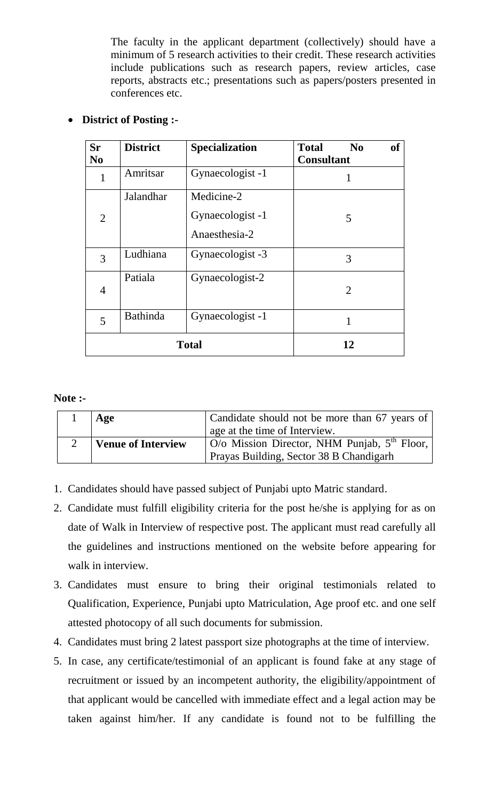The faculty in the applicant department (collectively) should have a minimum of 5 research activities to their credit. These research activities include publications such as research papers, review articles, case reports, abstracts etc.; presentations such as papers/posters presented in conferences etc.

| <b>Sr</b><br>N <sub>0</sub> | <b>District</b> | <b>Specialization</b>                           | <b>of</b><br><b>Total</b><br>$\bf No$<br><b>Consultant</b> |
|-----------------------------|-----------------|-------------------------------------------------|------------------------------------------------------------|
| 1                           | Amritsar        | Gynaecologist -1                                |                                                            |
| $\overline{2}$              | Jalandhar       | Medicine-2<br>Gynaecologist -1<br>Anaesthesia-2 | 5                                                          |
| 3                           | Ludhiana        | Gynaecologist -3                                | 3                                                          |
| 4                           | Patiala         | Gynaecologist-2                                 | $\overline{2}$                                             |
| 5                           | <b>Bathinda</b> | Gynaecologist -1                                | 1                                                          |
|                             | <b>Total</b>    | 12                                              |                                                            |

## **District of Posting :-**

#### **Note :-**

| Age                | Candidate should not be more than 67 years of                     |  |
|--------------------|-------------------------------------------------------------------|--|
|                    | age at the time of Interview.                                     |  |
| Venue of Interview | $\vert$ O/o Mission Director, NHM Punjab, $5^{th}$ Floor, $\vert$ |  |
|                    | Prayas Building, Sector 38 B Chandigarh                           |  |

- 1. Candidates should have passed subject of Punjabi upto Matric standard.
- 2. Candidate must fulfill eligibility criteria for the post he/she is applying for as on date of Walk in Interview of respective post. The applicant must read carefully all the guidelines and instructions mentioned on the website before appearing for walk in interview.
- 3. Candidates must ensure to bring their original testimonials related to Qualification, Experience, Punjabi upto Matriculation, Age proof etc. and one self attested photocopy of all such documents for submission.
- 4. Candidates must bring 2 latest passport size photographs at the time of interview.
- 5. In case, any certificate/testimonial of an applicant is found fake at any stage of recruitment or issued by an incompetent authority, the eligibility/appointment of that applicant would be cancelled with immediate effect and a legal action may be taken against him/her. If any candidate is found not to be fulfilling the